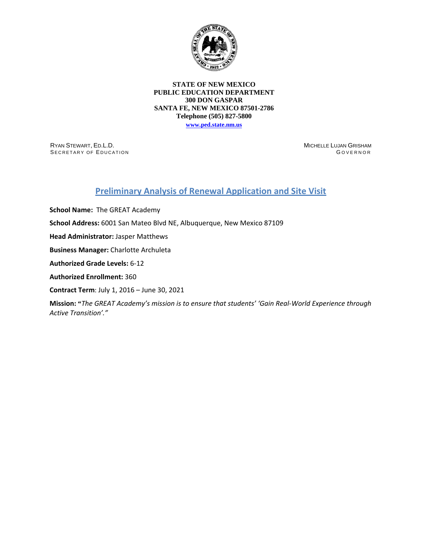

### **STATE OF NEW MEXICO PUBLIC EDUCATION DEPARTMENT 300 DON GASPAR SANTA FE, NEW MEXICO 87501-2786 Telephone (505) 827-5800**

**[www.ped.state.nm.us](http://webnew.ped.state.nm.us/)**

RYAN STEWART, ED.L.D. SECRETARY OF EDUCATION MICHELLE LUJAN GRISHAM G OVERNOR

# **Preliminary Analysis of Renewal Application and Site Visit**

**School Name:** The GREAT Academy

**School Address:** 6001 San Mateo Blvd NE, Albuquerque, New Mexico 87109

**Head Administrator:** Jasper Matthews

**Business Manager:** Charlotte Archuleta

**Authorized Grade Levels:** 6-12

**Authorized Enrollment:** 360

**Contract Term**: July 1, 2016 – June 30, 2021

**Mission: "***The GREAT Academy's mission is to ensure that students' 'Gain Real-World Experience through Active Transition'."*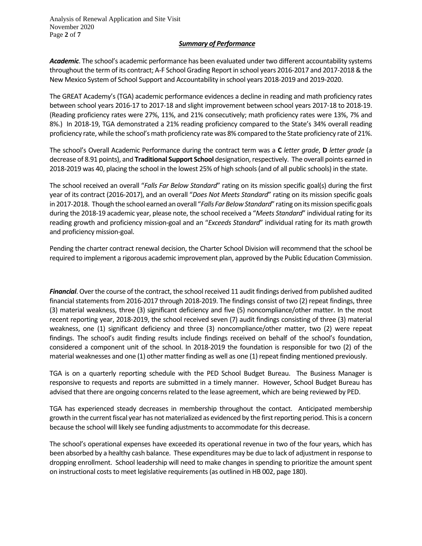Analysis of Renewal Application and Site Visit November 2020 Page **2** of **7**

## *Summary of Performance*

*Academic*. The school's academic performance has been evaluated under two different accountability systems throughout the term of its contract; A-F School Grading Report in school years 2016-2017 and 2017-2018 & the New Mexico System of School Support and Accountability in school years 2018-2019 and 2019-2020.

The GREAT Academy's (TGA) academic performance evidences a decline in reading and math proficiency rates between school years 2016-17 to 2017-18 and slight improvement between school years 2017-18 to 2018-19. (Reading proficiency rates were 27%, 11%, and 21% consecutively; math proficiency rates were 13%, 7% and 8%.) In 2018-19, TGA demonstrated a 21% reading proficiency compared to the State's 34% overall reading proficiency rate, while the school's math proficiency rate was 8% compared to the State proficiency rate of 21%.

The school's Overall Academic Performance during the contract term was a **C** *letter grade*, **D** *letter grade* (a decrease of 8.91 points), and **Traditional Support School** designation, respectively. The overall points earned in 2018-2019 was 40, placing the school in the lowest 25% of high schools (and of all public schools) in the state.

The school received an overall "*Falls Far Below Standard*" rating on its mission specific goal(s) during the first year of its contract (2016-2017), and an overall "*Does Not Meets Standard*" rating on its mission specific goals in 2017-2018. Though the school earned an overall "*Falls Far Below Standard*" rating on its mission specific goals during the 2018-19 academic year, please note, the school received a "*Meets Standard*" individual rating for its reading growth and proficiency mission-goal and an "*Exceeds Standard*" individual rating for its math growth and proficiency mission-goal.

Pending the charter contract renewal decision, the Charter School Division will recommend that the school be required to implement a rigorous academic improvement plan, approved by the Public Education Commission.

*Financial*. Over the course of the contract, the school received 11 audit findings derived from published audited financial statements from 2016-2017 through 2018-2019. The findings consist of two (2) repeat findings, three (3) material weakness, three (3) significant deficiency and five (5) noncompliance/other matter. In the most recent reporting year, 2018-2019, the school received seven (7) audit findings consisting of three (3) material weakness, one (1) significant deficiency and three (3) noncompliance/other matter, two (2) were repeat findings. The school's audit finding results include findings received on behalf of the school's foundation, considered a component unit of the school. In 2018-2019 the foundation is responsible for two (2) of the material weaknesses and one (1) other matter finding as well as one (1) repeat finding mentioned previously.

TGA is on a quarterly reporting schedule with the PED School Budget Bureau. The Business Manager is responsive to requests and reports are submitted in a timely manner. However, School Budget Bureau has advised that there are ongoing concerns related to the lease agreement, which are being reviewed by PED.

TGA has experienced steady decreases in membership throughout the contact. Anticipated membership growth in the current fiscal year has not materialized as evidenced by the first reporting period. This is a concern because the school will likely see funding adjustments to accommodate for this decrease.

The school's operational expenses have exceeded its operational revenue in two of the four years, which has been absorbed by a healthy cash balance. These expenditures may be due to lack of adjustment in response to dropping enrollment. School leadership will need to make changes in spending to prioritize the amount spent on instructional costs to meet legislative requirements (as outlined in HB 002, page 180).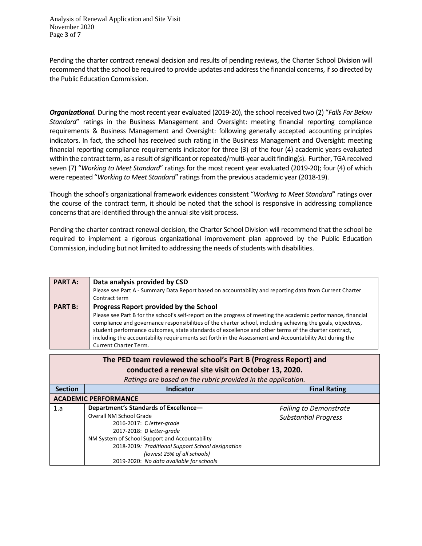Analysis of Renewal Application and Site Visit November 2020 Page **3** of **7**

Pending the charter contract renewal decision and results of pending reviews, the Charter School Division will recommend that the school be required to provide updates and address the financial concerns, if so directed by the Public Education Commission.

*Organizational.* During the most recent year evaluated (2019-20), the school received two (2) "*Falls Far Below Standard*" ratings in the Business Management and Oversight: meeting financial reporting compliance requirements & Business Management and Oversight: following generally accepted accounting principles indicators. In fact, the school has received such rating in the Business Management and Oversight: meeting financial reporting compliance requirements indicator for three (3) of the four (4) academic years evaluated within the contract term, as a result of significant or repeated/multi-year audit finding(s). Further, TGA received seven (7) "*Working to Meet Standard*" ratings for the most recent year evaluated (2019-20); four (4) of which were repeated "*Working to Meet Standard*" ratings from the previous academic year (2018-19).

Though the school's organizational framework evidences consistent "*Working to Meet Standard*" ratings over the course of the contract term, it should be noted that the school is responsive in addressing compliance concerns that are identified through the annual site visit process.

Pending the charter contract renewal decision, the Charter School Division will recommend that the school be required to implement a rigorous organizational improvement plan approved by the Public Education Commission, including but not limited to addressing the needs of students with disabilities.

| <b>PART A:</b> | Data analysis provided by CSD<br>Please see Part A - Summary Data Report based on accountability and reporting data from Current Charter<br>Contract term                                                                                                                                                                                                                                                                                                                                                           |
|----------------|---------------------------------------------------------------------------------------------------------------------------------------------------------------------------------------------------------------------------------------------------------------------------------------------------------------------------------------------------------------------------------------------------------------------------------------------------------------------------------------------------------------------|
| <b>PART B:</b> | Progress Report provided by the School<br>Please see Part B for the school's self-report on the progress of meeting the academic performance, financial<br>compliance and governance responsibilities of the charter school, including achieving the goals, objectives,<br>student performance outcomes, state standards of excellence and other terms of the charter contract,<br>including the accountability requirements set forth in the Assessment and Accountability Act during the<br>Current Charter Term. |

| The PED team reviewed the school's Part B (Progress Report) and<br>conducted a renewal site visit on October 13, 2020. |                                                   |                               |  |  |
|------------------------------------------------------------------------------------------------------------------------|---------------------------------------------------|-------------------------------|--|--|
| Ratings are based on the rubric provided in the application.                                                           |                                                   |                               |  |  |
| <b>Section</b>                                                                                                         | <b>Indicator</b>                                  | <b>Final Rating</b>           |  |  |
| <b>ACADEMIC PERFORMANCE</b>                                                                                            |                                                   |                               |  |  |
| 1.a                                                                                                                    | Department's Standards of Excellence-             | <b>Failing to Demonstrate</b> |  |  |
|                                                                                                                        | Overall NM School Grade                           | <b>Substantial Progress</b>   |  |  |
|                                                                                                                        | 2016-2017: C letter-grade                         |                               |  |  |
|                                                                                                                        | 2017-2018: D letter-grade                         |                               |  |  |
|                                                                                                                        | NM System of School Support and Accountability    |                               |  |  |
|                                                                                                                        | 2018-2019: Traditional Support School designation |                               |  |  |
|                                                                                                                        | (lowest 25% of all schools)                       |                               |  |  |
|                                                                                                                        | 2019-2020: No data available for schools          |                               |  |  |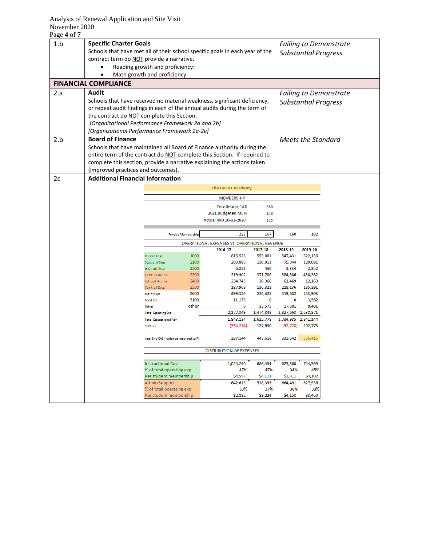## Analysis of Renewal Application and Site Visit November 2020

| 1.b | <b>Specific Charter Goals</b>                                            |                                                                              |                          |                                              |                        |                                            |                  |                               |
|-----|--------------------------------------------------------------------------|------------------------------------------------------------------------------|--------------------------|----------------------------------------------|------------------------|--------------------------------------------|------------------|-------------------------------|
|     |                                                                          |                                                                              |                          |                                              |                        |                                            |                  | <b>Failing to Demonstrate</b> |
|     |                                                                          | Schools that have met all of their school specific goals in each year of the |                          |                                              |                        |                                            |                  | <b>Substantial Progress</b>   |
|     | contract term do NOT provide a narrative.                                |                                                                              |                          |                                              |                        |                                            |                  |                               |
|     |                                                                          | Reading growth and proficiency:                                              |                          |                                              |                        |                                            |                  |                               |
|     |                                                                          | Math growth and proficiency:                                                 |                          |                                              |                        |                                            |                  |                               |
|     | <b>FINANCIAL COMPLIANCE</b>                                              |                                                                              |                          |                                              |                        |                                            |                  |                               |
| 2.a | <b>Audit</b>                                                             |                                                                              |                          |                                              |                        |                                            |                  |                               |
|     | Schools that have received no material weakness, significant deficiency, |                                                                              |                          |                                              |                        |                                            |                  | <b>Failing to Demonstrate</b> |
|     |                                                                          |                                                                              |                          |                                              |                        |                                            |                  | <b>Substantial Progress</b>   |
|     | or repeat audit findings in each of the annual audits during the term of |                                                                              |                          |                                              |                        |                                            |                  |                               |
|     | the contract do NOT complete this Section.                               |                                                                              |                          |                                              |                        |                                            |                  |                               |
|     | [Organizational Performance Framework 2a and 2b]                         |                                                                              |                          |                                              |                        |                                            |                  |                               |
|     | [Organizational Performance Framework 2a-2e]                             |                                                                              |                          |                                              |                        |                                            |                  |                               |
| 2.b | <b>Board of Finance</b><br><b>Meets the Standard</b>                     |                                                                              |                          |                                              |                        |                                            |                  |                               |
|     | Schools that have maintained all Board of Finance authority during the   |                                                                              |                          |                                              |                        |                                            |                  |                               |
|     | entire term of the contract do NOT complete this Section. If required to |                                                                              |                          |                                              |                        |                                            |                  |                               |
|     | complete this section, provide a narrative explaining the actions taken  |                                                                              |                          |                                              |                        |                                            |                  |                               |
|     | (improved practices and outcomes).                                       |                                                                              |                          |                                              |                        |                                            |                  |                               |
| 2c  | <b>Additional Financial Information</b>                                  |                                                                              |                          |                                              |                        |                                            |                  |                               |
|     |                                                                          |                                                                              |                          | <b>The GREAT Academy</b>                     |                        |                                            |                  |                               |
|     |                                                                          |                                                                              |                          | <b>MEMBERSHIP</b>                            |                        |                                            |                  |                               |
|     |                                                                          |                                                                              |                          | <b>Enrollment CAP</b>                        | 360                    |                                            |                  |                               |
|     |                                                                          |                                                                              |                          | 2021 Budgeted MEM                            | 158                    |                                            |                  |                               |
|     |                                                                          |                                                                              |                          | Actual 40D 10-01-2020                        | 115                    |                                            |                  |                               |
|     |                                                                          |                                                                              | <b>Funded Membership</b> | 223                                          | 167                    | 160                                        | 182              |                               |
|     |                                                                          |                                                                              |                          | OPERATIONAL EXPENSES vs. OPERATIONAL REVENUE |                        |                                            |                  |                               |
|     |                                                                          |                                                                              |                          | 2016-17                                      | 2017-18                | 2018-19                                    | 2019-20          |                               |
|     |                                                                          | <b>Direct Inst</b>                                                           | 1000                     | 816,526                                      | 555,081                | 547,431                                    | 622,136          |                               |
|     |                                                                          | <b>Student Sup</b>                                                           | 2100                     | 200,886                                      | 130,913                | 75,044                                     | 120,081          |                               |
|     |                                                                          | <b>Instrtnl Sup</b><br>Central Admir                                         | 2200<br>2300             | 6,828<br>219,902                             | 460<br>371,706         | 3,334<br>384,886                           | 2,352<br>430,382 |                               |
|     |                                                                          | <b>School Admir</b>                                                          | 2400                     | 234,743                                      | 30,368                 | 61,469                                     | 12,163           |                               |
|     |                                                                          | Central Svcs                                                                 | 2500                     | 187,968                                      | 136,321                | 218,136                                    | 185,391          |                               |
|     |                                                                          | Maint/Ops                                                                    | 2600                     | 499,320                                      | 236,425                | 519,682                                    | 253,903          |                               |
|     |                                                                          | <b>Food Svc</b>                                                              | 3100                     | 11,175                                       | 0                      | 0                                          | 3,562            |                               |
|     |                                                                          | Other                                                                        | other                    | $\mathbf 0$                                  | 13,575                 | 17,681                                     | 8,401            |                               |
|     |                                                                          | <b>Total Operting Exp</b><br><b>Total Operational Rev</b>                    |                          | 2,177,349<br>1,843,134                       | 1,474,848<br>1,612,778 | 1,827,663 1,638,371<br>1,734,935 1,841,144 |                  |                               |
|     |                                                                          | <b>Surplus</b>                                                               |                          | (334, 214)                                   | 137,930                | (92, 728)                                  | 202,773          |                               |
|     |                                                                          | Year End CASH balance reported to PE                                         |                          | 287,144                                      | 443,618                | 333,642                                    | 536,415          |                               |
|     |                                                                          |                                                                              |                          |                                              |                        |                                            |                  |                               |
|     |                                                                          | <b>DISTRIBUTION OF EXPENSES</b>                                              |                          |                                              |                        |                                            |                  |                               |
|     |                                                                          | <b>Instructional Cost</b>                                                    |                          | 1,024,240                                    | 686,454                | 625,808                                    | 744,569          |                               |
|     |                                                                          | % of total operating exp                                                     |                          | 47%                                          | 47%                    | 34%                                        | 45%              |                               |
|     |                                                                          | Per student membership                                                       |                          | \$4,593                                      | \$4,111                | \$3,911                                    | \$4,102          |                               |
|     |                                                                          | <b>Admin Support</b><br>% of total operating exp                             |                          | 642,613<br>30%                               | 538,395<br>37%         | 664,491<br>36%                             | 627,936<br>38%   |                               |
|     |                                                                          | Per student membership                                                       |                          | \$2,882                                      | \$3,224                | \$4,153                                    | \$3,460          |                               |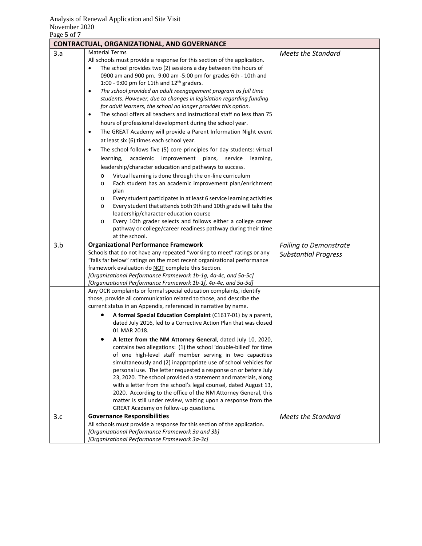|     | <b>CONTRACTUAL, ORGANIZATIONAL, AND GOVERNANCE</b>                                                                                                                                                                                                                                                                                                                                                                                                                                                                                                                                                                                                                                                                                                                                                                                                                                                                                                                                                                                                                                                                                                                                                                                                                     |                                                              |  |  |  |  |
|-----|------------------------------------------------------------------------------------------------------------------------------------------------------------------------------------------------------------------------------------------------------------------------------------------------------------------------------------------------------------------------------------------------------------------------------------------------------------------------------------------------------------------------------------------------------------------------------------------------------------------------------------------------------------------------------------------------------------------------------------------------------------------------------------------------------------------------------------------------------------------------------------------------------------------------------------------------------------------------------------------------------------------------------------------------------------------------------------------------------------------------------------------------------------------------------------------------------------------------------------------------------------------------|--------------------------------------------------------------|--|--|--|--|
| 3.a | <b>Material Terms</b><br>All schools must provide a response for this section of the application.<br>The school provides two (2) sessions a day between the hours of<br>$\bullet$<br>0900 am and 900 pm. 9:00 am -5:00 pm for grades 6th - 10th and<br>1:00 - 9:00 pm for 11th and $12^{th}$ graders.<br>The school provided an adult reengagement program as full time<br>$\bullet$<br>students. However, due to changes in legislation regarding funding<br>for adult learners, the school no longer provides this option.<br>The school offers all teachers and instructional staff no less than 75<br>$\bullet$<br>hours of professional development during the school year.<br>The GREAT Academy will provide a Parent Information Night event<br>$\bullet$<br>at least six (6) times each school year.<br>The school follows five (5) core principles for day students: virtual<br>$\bullet$<br>learning,<br>academic<br>improvement plans,<br>service<br>learning,<br>leadership/character education and pathways to success.<br>Virtual learning is done through the on-line curriculum<br>$\circ$<br>Each student has an academic improvement plan/enrichment<br>$\circ$<br>plan<br>Every student participates in at least 6 service learning activities<br>O | <b>Meets the Standard</b>                                    |  |  |  |  |
|     | Every student that attends both 9th and 10th grade will take the<br>$\circ$<br>leadership/character education course<br>Every 10th grader selects and follows either a college career<br>$\circ$<br>pathway or college/career readiness pathway during their time                                                                                                                                                                                                                                                                                                                                                                                                                                                                                                                                                                                                                                                                                                                                                                                                                                                                                                                                                                                                      |                                                              |  |  |  |  |
|     | at the school.                                                                                                                                                                                                                                                                                                                                                                                                                                                                                                                                                                                                                                                                                                                                                                                                                                                                                                                                                                                                                                                                                                                                                                                                                                                         |                                                              |  |  |  |  |
| 3.b | <b>Organizational Performance Framework</b><br>Schools that do not have any repeated "working to meet" ratings or any<br>"falls far below" ratings on the most recent organizational performance<br>framework evaluation do NOT complete this Section.<br>[Organizational Performance Framework 1b-1g, 4a-4c, and 5a-5c]<br>[Organizational Performance Framework 1b-1f, 4a-4e, and 5a-5d]                                                                                                                                                                                                                                                                                                                                                                                                                                                                                                                                                                                                                                                                                                                                                                                                                                                                             | <b>Failing to Demonstrate</b><br><b>Substantial Progress</b> |  |  |  |  |
|     | Any OCR complaints or formal special education complaints, identify<br>those, provide all communication related to those, and describe the<br>current status in an Appendix, referenced in narrative by name.<br>A formal Special Education Complaint (C1617-01) by a parent,                                                                                                                                                                                                                                                                                                                                                                                                                                                                                                                                                                                                                                                                                                                                                                                                                                                                                                                                                                                          |                                                              |  |  |  |  |
|     | dated July 2016, led to a Corrective Action Plan that was closed<br>01 MAR 2018.                                                                                                                                                                                                                                                                                                                                                                                                                                                                                                                                                                                                                                                                                                                                                                                                                                                                                                                                                                                                                                                                                                                                                                                       |                                                              |  |  |  |  |
| 3.c | A letter from the NM Attorney General, dated July 10, 2020,<br>contains two allegations: (1) the school 'double-billed' for time<br>of one high-level staff member serving in two capacities<br>simultaneously and (2) inappropriate use of school vehicles for<br>personal use. The letter requested a response on or before July<br>23, 2020. The school provided a statement and materials, along<br>with a letter from the school's legal counsel, dated August 13,<br>2020. According to the office of the NM Attorney General, this<br>matter is still under review, waiting upon a response from the<br>GREAT Academy on follow-up questions.<br><b>Governance Responsibilities</b>                                                                                                                                                                                                                                                                                                                                                                                                                                                                                                                                                                             | <b>Meets the Standard</b>                                    |  |  |  |  |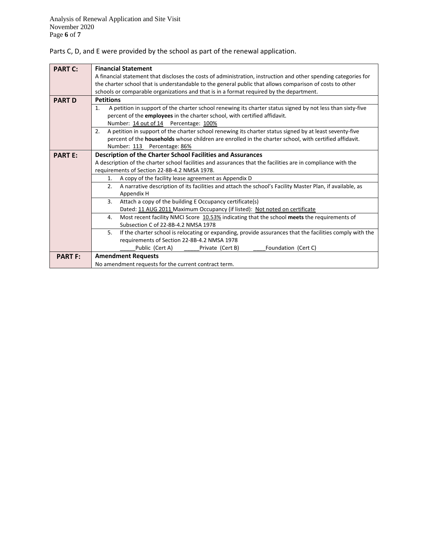Parts C, D, and E were provided by the school as part of the renewal application.

| <b>PART C:</b> | <b>Financial Statement</b>                                                                                                   |  |  |  |  |  |  |
|----------------|------------------------------------------------------------------------------------------------------------------------------|--|--|--|--|--|--|
|                | A financial statement that discloses the costs of administration, instruction and other spending categories for              |  |  |  |  |  |  |
|                | the charter school that is understandable to the general public that allows comparison of costs to other                     |  |  |  |  |  |  |
|                | schools or comparable organizations and that is in a format required by the department.                                      |  |  |  |  |  |  |
| <b>PART D</b>  | <b>Petitions</b>                                                                                                             |  |  |  |  |  |  |
|                | A petition in support of the charter school renewing its charter status signed by not less than sixty-five<br>$\mathbf{1}$ . |  |  |  |  |  |  |
|                | percent of the employees in the charter school, with certified affidavit.                                                    |  |  |  |  |  |  |
|                | Number: 14 out of 14 Percentage: 100%                                                                                        |  |  |  |  |  |  |
|                | A petition in support of the charter school renewing its charter status signed by at least seventy-five<br>2.                |  |  |  |  |  |  |
|                | percent of the households whose children are enrolled in the charter school, with certified affidavit.                       |  |  |  |  |  |  |
|                | Number: 113 Percentage: 86%                                                                                                  |  |  |  |  |  |  |
| <b>PART E:</b> | <b>Description of the Charter School Facilities and Assurances</b>                                                           |  |  |  |  |  |  |
|                | A description of the charter school facilities and assurances that the facilities are in compliance with the                 |  |  |  |  |  |  |
|                | requirements of Section 22-8B-4.2 NMSA 1978.                                                                                 |  |  |  |  |  |  |
|                | A copy of the facility lease agreement as Appendix D<br>1.                                                                   |  |  |  |  |  |  |
|                | A narrative description of its facilities and attach the school's Facility Master Plan, if available, as<br>2.               |  |  |  |  |  |  |
|                | Appendix H                                                                                                                   |  |  |  |  |  |  |
|                | 3 <sub>1</sub><br>Attach a copy of the building E Occupancy certificate(s)                                                   |  |  |  |  |  |  |
|                | Dated: 11 AUG 2011 Maximum Occupancy (if listed): Not noted on certificate                                                   |  |  |  |  |  |  |
|                | Most recent facility NMCI Score 10.53% indicating that the school meets the requirements of<br>4.                            |  |  |  |  |  |  |
|                | Subsection C of 22-8B-4.2 NMSA 1978                                                                                          |  |  |  |  |  |  |
|                | If the charter school is relocating or expanding, provide assurances that the facilities comply with the<br>5.               |  |  |  |  |  |  |
|                | requirements of Section 22-8B-4.2 NMSA 1978                                                                                  |  |  |  |  |  |  |
|                | Public (Cert A)<br>Private (Cert B)<br>Foundation (Cert C)                                                                   |  |  |  |  |  |  |
| <b>PART F:</b> | <b>Amendment Requests</b>                                                                                                    |  |  |  |  |  |  |
|                | No amendment requests for the current contract term.                                                                         |  |  |  |  |  |  |